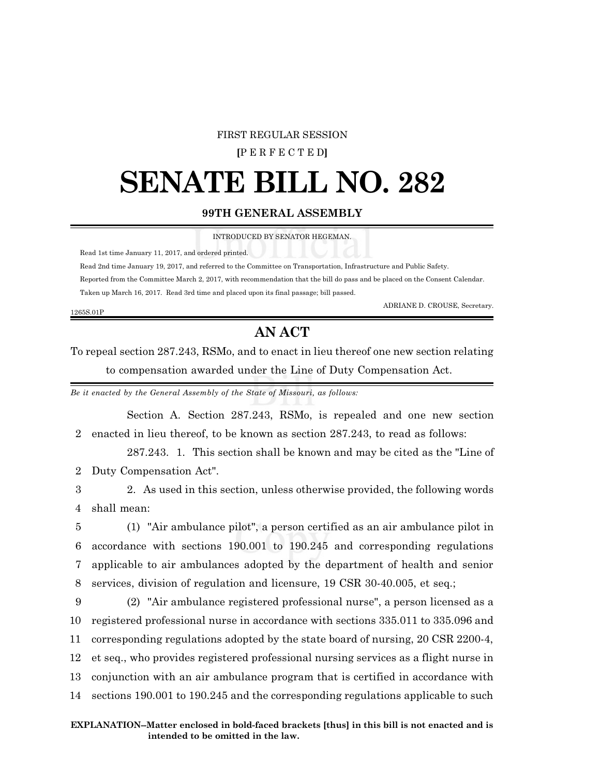### FIRST REGULAR SESSION

## **[**P E R F E C T E D**]**

# **SENATE BILL NO. 282**

# **99TH GENERAL ASSEMBLY**

INTRODUCED BY SENATOR HEGEMAN.

Read 1st time January 11, 2017, and ordered printed.

Read 2nd time January 19, 2017, and referred to the Committee on Transportation, Infrastructure and Public Safety.

Reported from the Committee March 2, 2017, with recommendation that the bill do pass and be placed on the Consent Calendar.

Taken up March 16, 2017. Read 3rd time and placed upon its final passage; bill passed.

ADRIANE D. CROUSE, Secretary.

#### 1265S.01P

# **AN ACT**

To repeal section 287.243, RSMo, and to enact in lieu thereof one new section relating to compensation awarded under the Line of Duty Compensation Act.

*Be it enacted by the General Assembly of the State of Missouri, as follows:*

Section A. Section 287.243, RSMo, is repealed and one new section 2 enacted in lieu thereof, to be known as section 287.243, to read as follows:

287.243. 1. This section shall be known and may be cited as the "Line of 2 Duty Compensation Act".

3 2. As used in this section, unless otherwise provided, the following words 4 shall mean:

 (1) "Air ambulance pilot", a person certified as an air ambulance pilot in accordance with sections 190.001 to 190.245 and corresponding regulations applicable to air ambulances adopted by the department of health and senior services, division of regulation and licensure, 19 CSR 30-40.005, et seq.;

 (2) "Air ambulance registered professional nurse", a person licensed as a registered professional nurse in accordance with sections 335.011 to 335.096 and corresponding regulations adopted by the state board of nursing, 20 CSR 2200-4, et seq., who provides registered professional nursing services as a flight nurse in conjunction with an air ambulance program that is certified in accordance with sections 190.001 to 190.245 and the corresponding regulations applicable to such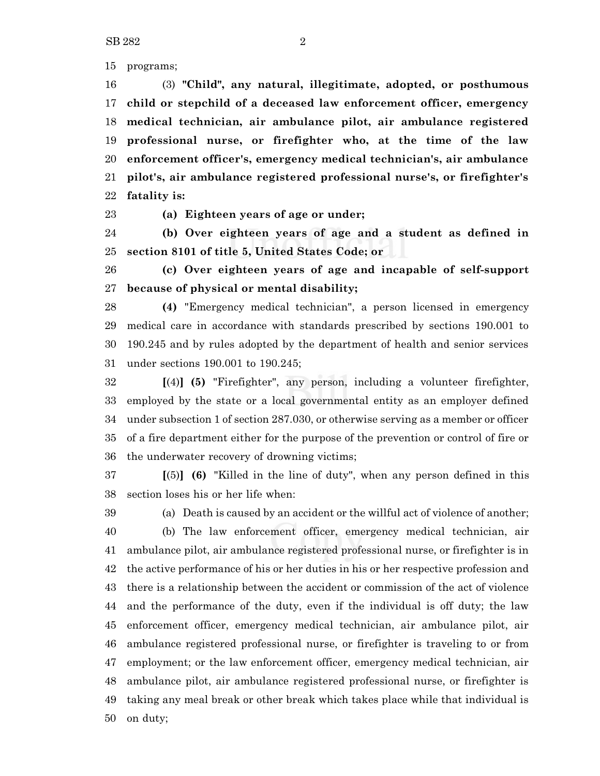programs;

 (3) **"Child", any natural, illegitimate, adopted, or posthumous child or stepchild of a deceased law enforcement officer, emergency medical technician, air ambulance pilot, air ambulance registered professional nurse, or firefighter who, at the time of the law enforcement officer's, emergency medical technician's, air ambulance pilot's, air ambulance registered professional nurse's, or firefighter's fatality is:**

**(a) Eighteen years of age or under;**

 **(b) Over eighteen years of age and a student as defined in section 8101 of title 5, United States Code; or**

 **(c) Over eighteen years of age and incapable of self-support because of physical or mental disability;**

 **(4)** "Emergency medical technician", a person licensed in emergency medical care in accordance with standards prescribed by sections 190.001 to 190.245 and by rules adopted by the department of health and senior services under sections 190.001 to 190.245;

 **[**(4)**] (5)** "Firefighter", any person, including a volunteer firefighter, employed by the state or a local governmental entity as an employer defined under subsection 1 of section 287.030, or otherwise serving as a member or officer of a fire department either for the purpose of the prevention or control of fire or the underwater recovery of drowning victims;

 **[**(5)**] (6)** "Killed in the line of duty", when any person defined in this section loses his or her life when:

 (a) Death is caused by an accident or the willful act of violence of another; (b) The law enforcement officer, emergency medical technician, air ambulance pilot, air ambulance registered professional nurse, or firefighter is in the active performance of his or her duties in his or her respective profession and there is a relationship between the accident or commission of the act of violence and the performance of the duty, even if the individual is off duty; the law enforcement officer, emergency medical technician, air ambulance pilot, air ambulance registered professional nurse, or firefighter is traveling to or from employment; or the law enforcement officer, emergency medical technician, air ambulance pilot, air ambulance registered professional nurse, or firefighter is taking any meal break or other break which takes place while that individual is on duty;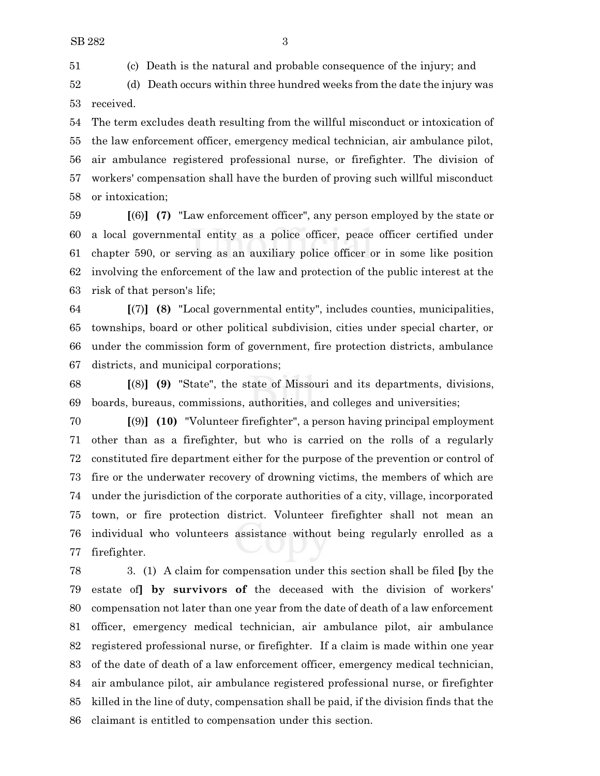(c) Death is the natural and probable consequence of the injury; and

 (d) Death occurs within three hundred weeks from the date the injury was received.

 The term excludes death resulting from the willful misconduct or intoxication of the law enforcement officer, emergency medical technician, air ambulance pilot, air ambulance registered professional nurse, or firefighter. The division of workers' compensation shall have the burden of proving such willful misconduct or intoxication;

 **[**(6)**] (7)** "Law enforcement officer", any person employed by the state or a local governmental entity as a police officer, peace officer certified under chapter 590, or serving as an auxiliary police officer or in some like position involving the enforcement of the law and protection of the public interest at the risk of that person's life;

 **[**(7)**] (8)** "Local governmental entity", includes counties, municipalities, townships, board or other political subdivision, cities under special charter, or under the commission form of government, fire protection districts, ambulance districts, and municipal corporations;

 **[**(8)**] (9)** "State", the state of Missouri and its departments, divisions, boards, bureaus, commissions, authorities, and colleges and universities;

 **[**(9)**] (10)** "Volunteer firefighter", a person having principal employment other than as a firefighter, but who is carried on the rolls of a regularly constituted fire department either for the purpose of the prevention or control of fire or the underwater recovery of drowning victims, the members of which are under the jurisdiction of the corporate authorities of a city, village, incorporated town, or fire protection district. Volunteer firefighter shall not mean an individual who volunteers assistance without being regularly enrolled as a firefighter.

 3. (1) A claim for compensation under this section shall be filed **[**by the estate of**] by survivors of** the deceased with the division of workers' compensation not later than one year from the date of death of a law enforcement officer, emergency medical technician, air ambulance pilot, air ambulance registered professional nurse, or firefighter. If a claim is made within one year of the date of death of a law enforcement officer, emergency medical technician, air ambulance pilot, air ambulance registered professional nurse, or firefighter killed in the line of duty, compensation shall be paid, if the division finds that the claimant is entitled to compensation under this section.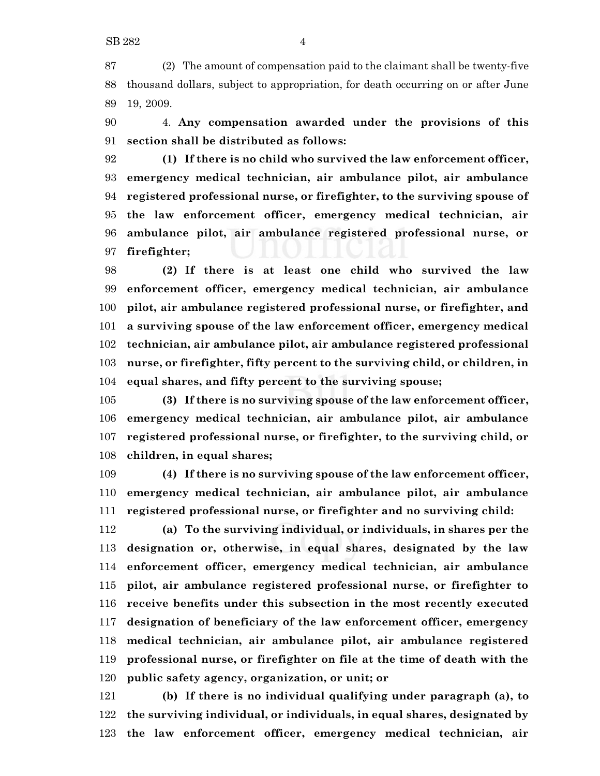(2) The amount of compensation paid to the claimant shall be twenty-five thousand dollars, subject to appropriation, for death occurring on or after June 19, 2009.

 4. **Any compensation awarded under the provisions of this section shall be distributed as follows:**

 **(1) If there is no child who survived the law enforcement officer, emergency medical technician, air ambulance pilot, air ambulance registered professional nurse, or firefighter, to the surviving spouse of the law enforcement officer, emergency medical technician, air ambulance pilot, air ambulance registered professional nurse, or firefighter;**

 **(2) If there is at least one child who survived the law enforcement officer, emergency medical technician, air ambulance pilot, air ambulance registered professional nurse, or firefighter, and a surviving spouse of the law enforcement officer, emergency medical technician, air ambulance pilot, air ambulance registered professional nurse, or firefighter, fifty percent to the surviving child, or children, in equal shares, and fifty percent to the surviving spouse;**

 **(3) If there is no surviving spouse of the law enforcement officer, emergency medical technician, air ambulance pilot, air ambulance registered professional nurse, or firefighter, to the surviving child, or children, in equal shares;**

 **(4) If there is no surviving spouse of the law enforcement officer, emergency medical technician, air ambulance pilot, air ambulance registered professional nurse, or firefighter and no surviving child:**

 **(a) To the surviving individual, or individuals, in shares per the designation or, otherwise, in equal shares, designated by the law enforcement officer, emergency medical technician, air ambulance pilot, air ambulance registered professional nurse, or firefighter to receive benefits under this subsection in the most recently executed designation of beneficiary of the law enforcement officer, emergency medical technician, air ambulance pilot, air ambulance registered professional nurse, or firefighter on file at the time of death with the public safety agency, organization, or unit; or**

 **(b) If there is no individual qualifying under paragraph (a), to the surviving individual, or individuals, in equal shares, designated by the law enforcement officer, emergency medical technician, air**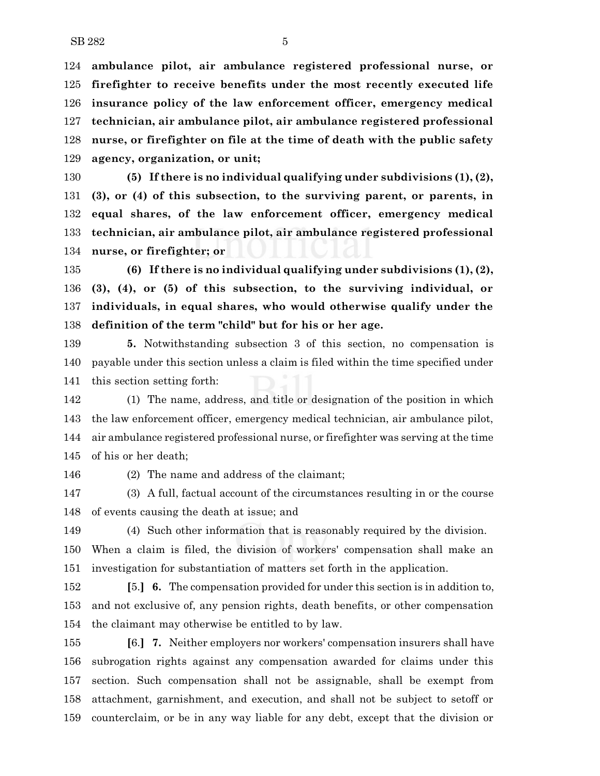**ambulance pilot, air ambulance registered professional nurse, or firefighter to receive benefits under the most recently executed life insurance policy of the law enforcement officer, emergency medical technician, air ambulance pilot, air ambulance registered professional nurse, or firefighter on file at the time of death with the public safety agency, organization, or unit;**

 **(5) If there is no individual qualifying under subdivisions (1), (2), (3), or (4) of this subsection, to the surviving parent, or parents, in equal shares, of the law enforcement officer, emergency medical technician, air ambulance pilot, air ambulance registered professional nurse, or firefighter; or**

 **(6) If there is no individual qualifying under subdivisions (1), (2), (3), (4), or (5) of this subsection, to the surviving individual, or individuals, in equal shares, who would otherwise qualify under the definition of the term "child" but for his or her age.**

 **5.** Notwithstanding subsection 3 of this section, no compensation is payable under this section unless a claim is filed within the time specified under this section setting forth:

 (1) The name, address, and title or designation of the position in which the law enforcement officer, emergency medical technician, air ambulance pilot, air ambulance registered professional nurse, or firefighter was serving at the time of his or her death;

(2) The name and address of the claimant;

 (3) A full, factual account of the circumstances resulting in or the course of events causing the death at issue; and

 (4) Such other information that is reasonably required by the division. When a claim is filed, the division of workers' compensation shall make an investigation for substantiation of matters set forth in the application.

 **[**5.**] 6.** The compensation provided for under this section is in addition to, and not exclusive of, any pension rights, death benefits, or other compensation the claimant may otherwise be entitled to by law.

 **[**6.**] 7.** Neither employers nor workers' compensation insurers shall have subrogation rights against any compensation awarded for claims under this section. Such compensation shall not be assignable, shall be exempt from attachment, garnishment, and execution, and shall not be subject to setoff or counterclaim, or be in any way liable for any debt, except that the division or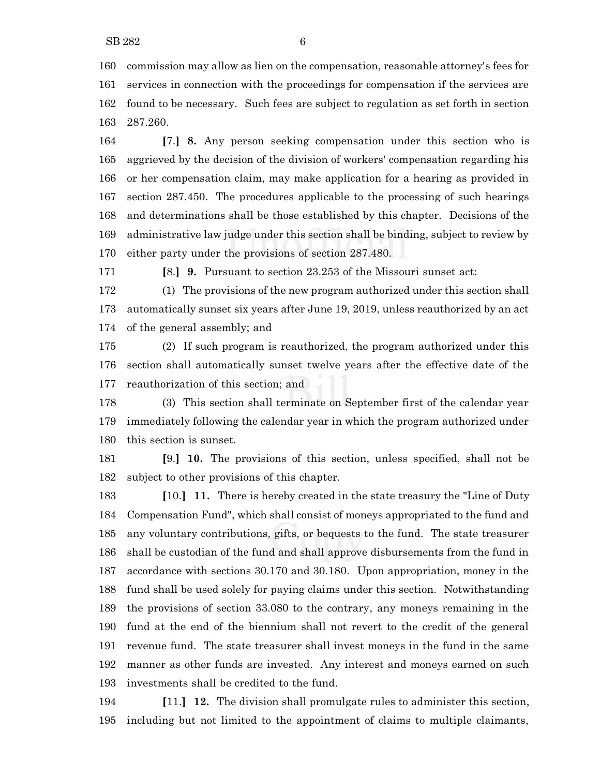commission may allow as lien on the compensation, reasonable attorney's fees for services in connection with the proceedings for compensation if the services are found to be necessary. Such fees are subject to regulation as set forth in section 287.260.

 **[**7.**] 8.** Any person seeking compensation under this section who is aggrieved by the decision of the division of workers' compensation regarding his or her compensation claim, may make application for a hearing as provided in section 287.450. The procedures applicable to the processing of such hearings and determinations shall be those established by this chapter. Decisions of the administrative law judge under this section shall be binding, subject to review by either party under the provisions of section 287.480.

**[**8.**] 9.** Pursuant to section 23.253 of the Missouri sunset act:

 (1) The provisions of the new program authorized under this section shall automatically sunset six years after June 19, 2019, unless reauthorized by an act of the general assembly; and

 (2) If such program is reauthorized, the program authorized under this section shall automatically sunset twelve years after the effective date of the reauthorization of this section; and

 (3) This section shall terminate on September first of the calendar year immediately following the calendar year in which the program authorized under this section is sunset.

 **[**9.**] 10.** The provisions of this section, unless specified, shall not be subject to other provisions of this chapter.

 **[**10.**] 11.** There is hereby created in the state treasury the "Line of Duty Compensation Fund", which shall consist of moneys appropriated to the fund and any voluntary contributions, gifts, or bequests to the fund. The state treasurer shall be custodian of the fund and shall approve disbursements from the fund in accordance with sections 30.170 and 30.180. Upon appropriation, money in the fund shall be used solely for paying claims under this section. Notwithstanding the provisions of section 33.080 to the contrary, any moneys remaining in the fund at the end of the biennium shall not revert to the credit of the general revenue fund. The state treasurer shall invest moneys in the fund in the same manner as other funds are invested. Any interest and moneys earned on such investments shall be credited to the fund.

 **[**11.**] 12.** The division shall promulgate rules to administer this section, including but not limited to the appointment of claims to multiple claimants,